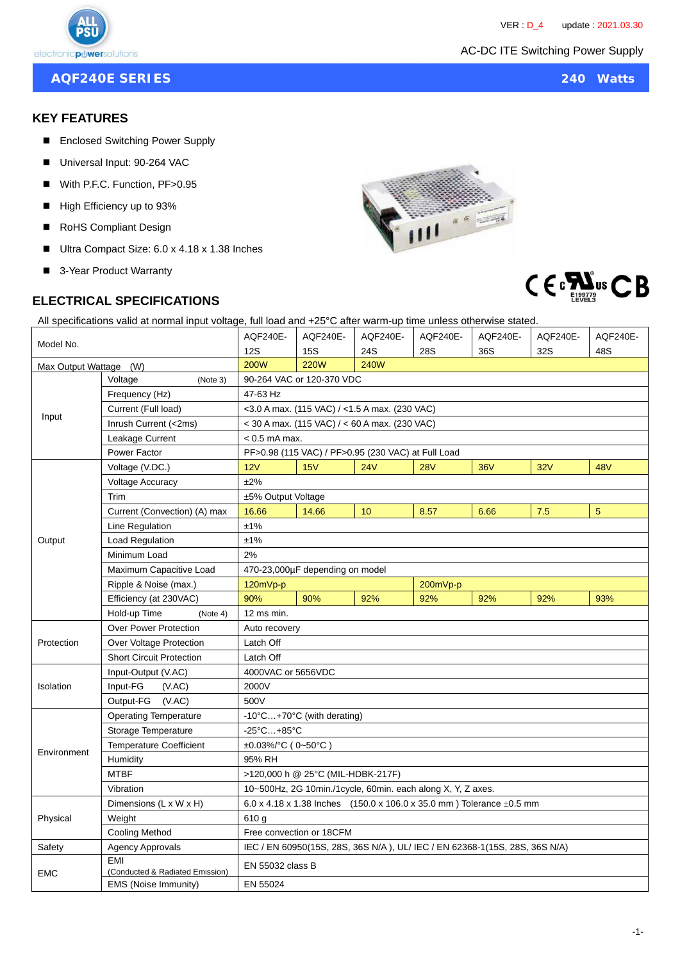**AQF240E SERIES 240 Watts**

### **KEY FEATURES**

- Enclosed Switching Power Supply
- Universal Input: 90-264 VAC
- With P.F.C. Function, PF>0.95
- High Efficiency up to 93%
- RoHS Compliant Design
- Ultra Compact Size: 6.0 x 4.18 x 1.38 Inches
- 3-Year Product Warranty

## **ELECTRICAL SPECIFICATIONS**





All specifications valid at normal input voltage, full load and +25°C after warm-up time unless otherwise stated.

| Model No.              |                                               | AQF240E-                                                                   | AQF240E-    | AQF240E-    | AQF240E-   | AQF240E-   | AQF240E- | AQF240E-       |  |
|------------------------|-----------------------------------------------|----------------------------------------------------------------------------|-------------|-------------|------------|------------|----------|----------------|--|
|                        |                                               | <b>12S</b>                                                                 | <b>15S</b>  | 24S         | 28S        | 36S        | 32S      | 48S            |  |
| Max Output Wattage (W) |                                               | <b>200W</b>                                                                | <b>220W</b> | <b>240W</b> |            |            |          |                |  |
| Input                  | Voltage<br>(Note 3)                           | 90-264 VAC or 120-370 VDC                                                  |             |             |            |            |          |                |  |
|                        | Frequency (Hz)                                | 47-63 Hz                                                                   |             |             |            |            |          |                |  |
|                        | Current (Full load)                           | $<$ 3.0 A max. (115 VAC) / $<$ 1.5 A max. (230 VAC)                        |             |             |            |            |          |                |  |
|                        | Inrush Current (<2ms)                         | $<$ 30 A max. (115 VAC) / $<$ 60 A max. (230 VAC)                          |             |             |            |            |          |                |  |
|                        | Leakage Current                               | $< 0.5$ mA max.                                                            |             |             |            |            |          |                |  |
|                        | Power Factor                                  | PF>0.98 (115 VAC) / PF>0.95 (230 VAC) at Full Load                         |             |             |            |            |          |                |  |
| Output                 | Voltage (V.DC.)                               | 12V                                                                        | 15V         | 24V         | <b>28V</b> | <b>36V</b> | 32V      | <b>48V</b>     |  |
|                        | <b>Voltage Accuracy</b>                       | ±2%                                                                        |             |             |            |            |          |                |  |
|                        | Trim                                          | ±5% Output Voltage                                                         |             |             |            |            |          |                |  |
|                        | Current (Convection) (A) max                  | 16.66                                                                      | 14.66       | 10          | 8.57       | 6.66       | 7.5      | $\overline{5}$ |  |
|                        | Line Regulation                               | ±1%                                                                        |             |             |            |            |          |                |  |
|                        | Load Regulation                               | ±1%                                                                        |             |             |            |            |          |                |  |
|                        | Minimum Load                                  | 2%                                                                         |             |             |            |            |          |                |  |
|                        | Maximum Capacitive Load                       | 470-23,000µF depending on model                                            |             |             |            |            |          |                |  |
|                        | Ripple & Noise (max.)                         | 120mVp-p<br>200mVp-p                                                       |             |             |            |            |          |                |  |
|                        | Efficiency (at 230VAC)                        | 90%                                                                        | 90%         | 92%         | 92%        | 92%        | 92%      | 93%            |  |
|                        | Hold-up Time<br>(Note 4)                      | 12 ms min.                                                                 |             |             |            |            |          |                |  |
| Protection             | <b>Over Power Protection</b>                  | Auto recovery                                                              |             |             |            |            |          |                |  |
|                        | Over Voltage Protection                       | Latch Off                                                                  |             |             |            |            |          |                |  |
|                        | <b>Short Circuit Protection</b>               | Latch Off                                                                  |             |             |            |            |          |                |  |
| Isolation              | Input-Output (V.AC)                           | 4000VAC or 5656VDC                                                         |             |             |            |            |          |                |  |
|                        | Input-FG<br>(VAC)                             | 2000V                                                                      |             |             |            |            |          |                |  |
|                        | Output-FG (V.AC)                              | 500V                                                                       |             |             |            |            |          |                |  |
| Environment            | <b>Operating Temperature</b>                  | -10°C+70°C (with derating)                                                 |             |             |            |            |          |                |  |
|                        | Storage Temperature                           | $-25^{\circ}$ C +85 $^{\circ}$ C                                           |             |             |            |            |          |                |  |
|                        | <b>Temperature Coefficient</b>                | $\pm 0.03\%$ °C (0~50 °C)                                                  |             |             |            |            |          |                |  |
|                        | Humidity                                      | 95% RH                                                                     |             |             |            |            |          |                |  |
|                        | <b>MTBF</b>                                   | >120,000 h @ 25°C (MIL-HDBK-217F)                                          |             |             |            |            |          |                |  |
|                        | Vibration                                     | 10~500Hz, 2G 10min./1cycle, 60min. each along X, Y, Z axes.                |             |             |            |            |          |                |  |
| Physical               | Dimensions (L x W x H)                        | 6.0 x 4.18 x 1.38 Inches (150.0 x 106.0 x 35.0 mm) Tolerance $\pm 0.5$ mm  |             |             |            |            |          |                |  |
|                        | Weight                                        | 610 g                                                                      |             |             |            |            |          |                |  |
|                        | Cooling Method                                | Free convection or 18CFM                                                   |             |             |            |            |          |                |  |
| Safety                 | <b>Agency Approvals</b>                       | IEC / EN 60950(15S, 28S, 36S N/A), UL/ IEC / EN 62368-1(15S, 28S, 36S N/A) |             |             |            |            |          |                |  |
| <b>EMC</b>             | <b>EMI</b><br>(Conducted & Radiated Emission) | EN 55032 class B                                                           |             |             |            |            |          |                |  |
|                        | EMS (Noise Immunity)                          | EN 55024                                                                   |             |             |            |            |          |                |  |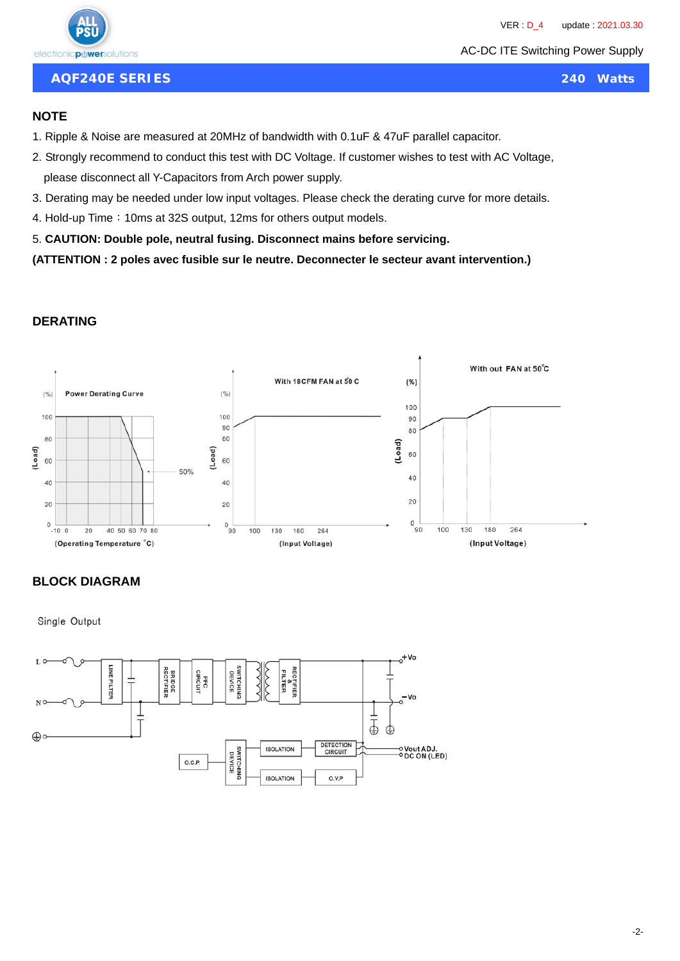AC-DC ITE Switching Power Supply

**AQF240E SERIES 240 Watts**

#### **NOTE**

- 1. Ripple & Noise are measured at 20MHz of bandwidth with 0.1uF & 47uF parallel capacitor.
- 2. Strongly recommend to conduct this test with DC Voltage. If customer wishes to test with AC Voltage, please disconnect all Y-Capacitors from Arch power supply.
- 3. Derating may be needed under low input voltages. Please check the derating curve for more details.
- 4. Hold-up Time: 10ms at 32S output, 12ms for others output models.
- 5. **CAUTION: Double pole, neutral fusing. Disconnect mains before servicing.**

**(ATTENTION : 2 poles avec fusible sur le neutre. Deconnecter le secteur avant intervention.)**

## **DERATING**



## **BLOCK DIAGRAM**

Single Output

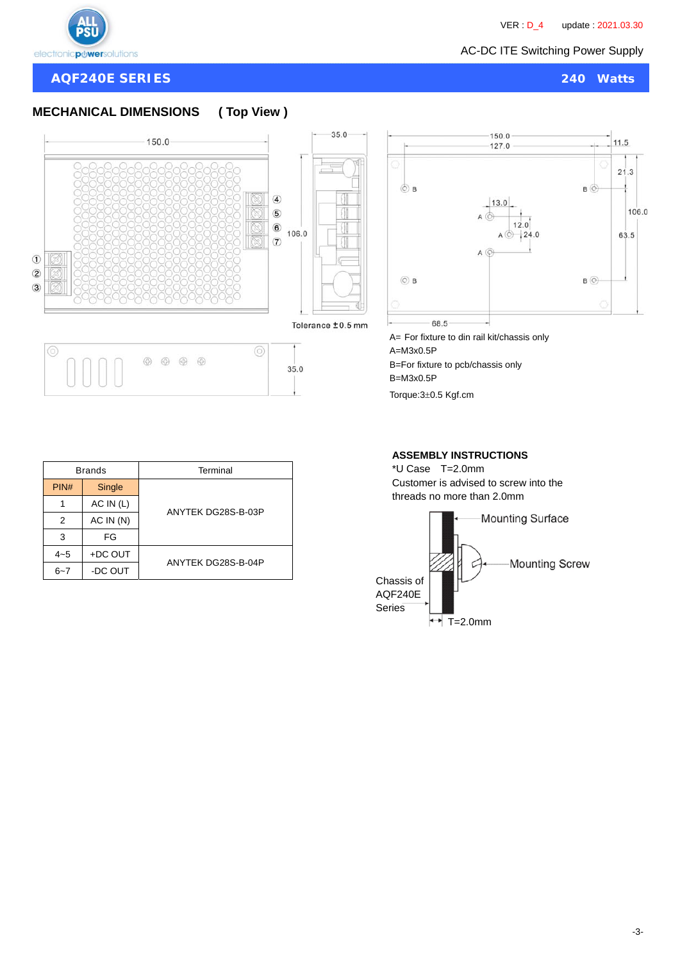

 $\odot$  $\overline{2}$ 

 $\overline{3}$ 

 $\circ$ 

**AQF240E SERIES 240 Watts**

# **MECHANICAL DIMENSIONS ( Top View )**

150.0



 $\circledcirc$ 

 $35.0$ 



A= For fixture to din rail kit/chassis only A=M3x0.5P B=For fixture to pcb/chassis only B=M3x0.5P

Torque: 3±0.5 Kgf.cm

|         | <b>Brands</b> | Terminal           |  |  |  |
|---------|---------------|--------------------|--|--|--|
| PIN#    | Single        | ANYTEK DG28S-B-03P |  |  |  |
|         | AC IN (L)     |                    |  |  |  |
| 2       | AC IN (N)     |                    |  |  |  |
| 3       | FG            |                    |  |  |  |
| $4 - 5$ | +DC OUT       | ANYTEK DG28S-B-04P |  |  |  |
| $6 - 7$ | -DC OUT       |                    |  |  |  |

 $\begin{array}{ccc} \circledast & \circledast & \circledast & \circledast \end{array}$ 

#### **ASSEMBLY INSTRUCTIONS**

\*U Case T=2.0mm Customer is advised to screw into the threads no more than 2.0mm